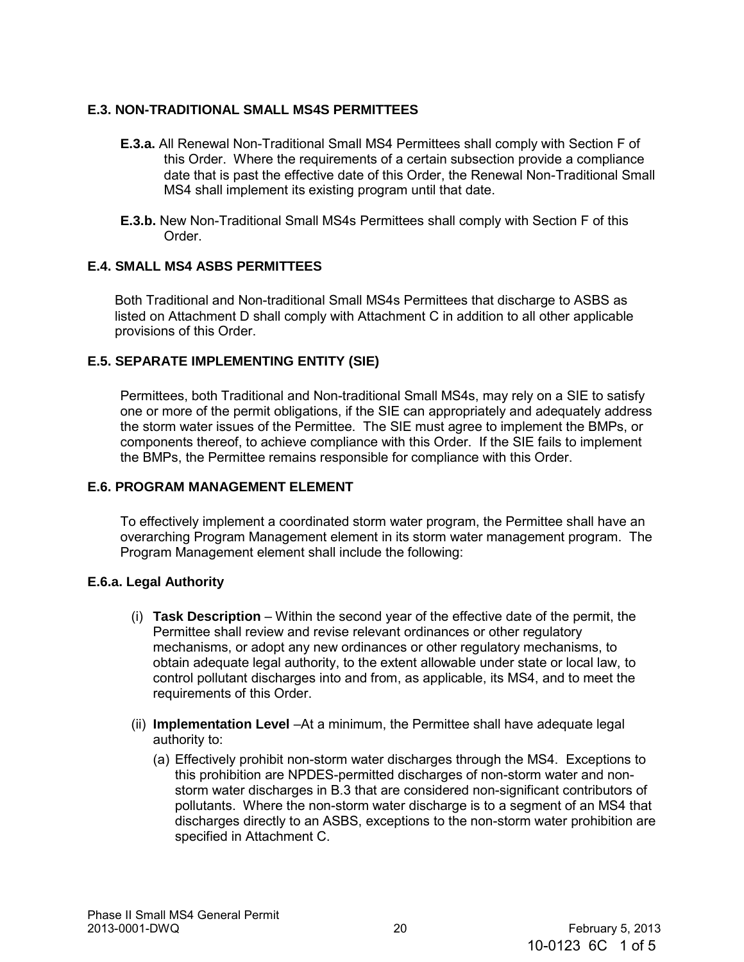# **E.3. NON-TRADITIONAL SMALL MS4S PERMITTEES**

- **E.3.a.** All Renewal Non-Traditional Small MS4 Permittees shall comply with Section F of this Order. Where the requirements of a certain subsection provide a compliance date that is past the effective date of this Order, the Renewal Non-Traditional Small MS4 shall implement its existing program until that date.
- **E.3.b.** New Non-Traditional Small MS4s Permittees shall comply with Section F of this Order.

## **E.4. SMALL MS4 ASBS PERMITTEES**

Both Traditional and Non-traditional Small MS4s Permittees that discharge to ASBS as listed on Attachment D shall comply with Attachment C in addition to all other applicable provisions of this Order.

## **E.5. SEPARATE IMPLEMENTING ENTITY (SIE)**

Permittees, both Traditional and Non-traditional Small MS4s, may rely on a SIE to satisfy one or more of the permit obligations, if the SIE can appropriately and adequately address the storm water issues of the Permittee. The SIE must agree to implement the BMPs, or components thereof, to achieve compliance with this Order. If the SIE fails to implement the BMPs, the Permittee remains responsible for compliance with this Order.

#### **E.6. PROGRAM MANAGEMENT ELEMENT**

To effectively implement a coordinated storm water program, the Permittee shall have an overarching Program Management element in its storm water management program. The Program Management element shall include the following:

#### **E.6.a. Legal Authority**

- (i) **Task Description** Within the second year of the effective date of the permit, the Permittee shall review and revise relevant ordinances or other regulatory mechanisms, or adopt any new ordinances or other regulatory mechanisms, to obtain adequate legal authority, to the extent allowable under state or local law, to control pollutant discharges into and from, as applicable, its MS4, and to meet the requirements of this Order.
- (ii) **Implementation Level** –At a minimum, the Permittee shall have adequate legal authority to:
	- (a) Effectively prohibit non-storm water discharges through the MS4. Exceptions to this prohibition are NPDES-permitted discharges of non-storm water and nonstorm water discharges in B.3 that are considered non-significant contributors of pollutants. Where the non-storm water discharge is to a segment of an MS4 that discharges directly to an ASBS, exceptions to the non-storm water prohibition are specified in Attachment C.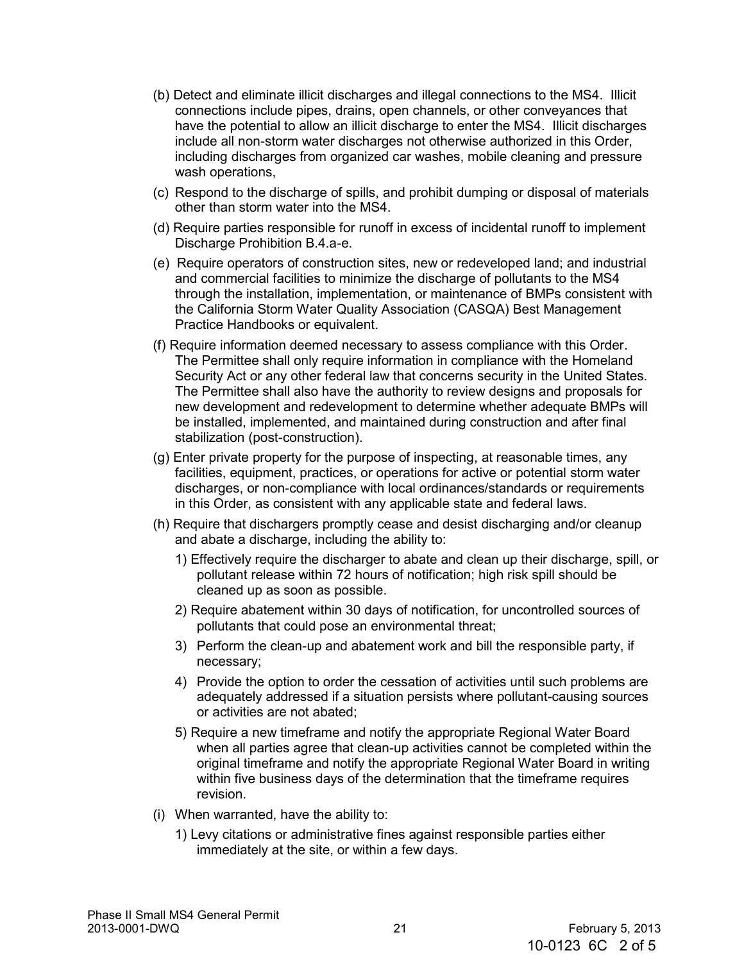- (b) Detect and eliminate illicit discharges and illegal connections to the MS4. Illicit connections include pipes, drains, open channels, or other conveyances that have the potential to allow an illicit discharge to enter the MS4. Illicit discharges include all non-storm water discharges not otherwise authorized in this Order, including discharges from organized car washes, mobile cleaning and pressure wash operations,
- (c) Respond to the discharge of spills, and prohibit dumping or disposal of materials other than storm water into the MS4.
- (d) Require parties responsible for runoff in excess of incidental runoff to implement Discharge Prohibition B.4.a-e.
- (e) Require operators of construction sites, new or redeveloped land; and industrial and commercial facilities to minimize the discharge of pollutants to the MS4 through the installation, implementation, or maintenance of BMPs consistent with the California Storm Water Quality Association (CASQA) Best Management Practice Handbooks or equivalent.
- (f) Require information deemed necessary to assess compliance with this Order. The Permittee shall only require information in compliance with the Homeland Security Act or any other federal law that concerns security in the United States. The Permittee shall also have the authority to review designs and proposals for new development and redevelopment to determine whether adequate BMPs will be installed, implemented, and maintained during construction and after final stabilization (post-construction).
- (g) Enter private property for the purpose of inspecting, at reasonable times, any facilities, equipment, practices, or operations for active or potential storm water discharges, or non-compliance with local ordinances/standards or requirements in this Order, as consistent with any applicable state and federal laws.
- (h) Require that dischargers promptly cease and desist discharging and/or cleanup and abate a discharge, including the ability to:
	- 1) Effectively require the discharger to abate and clean up their discharge, spill, or pollutant release within 72 hours of notification; high risk spill should be cleaned up as soon as possible.
	- 2) Require abatement within 30 days of notification, for uncontrolled sources of pollutants that could pose an environmental threat;
	- 3) Perform the clean-up and abatement work and bill the responsible party, if necessary;
	- 4) Provide the option to order the cessation of activities until such problems are adequately addressed if a situation persists where pollutant-causing sources or activities are not abated;
	- 5) Require a new timeframe and notify the appropriate Regional Water Board when all parties agree that clean-up activities cannot be completed within the original timeframe and notify the appropriate Regional Water Board in writing within five business days of the determination that the timeframe requires revision.
- (i) When warranted, have the ability to:
	- 1) Levy citations or administrative fines against responsible parties either immediately at the site, or within a few days.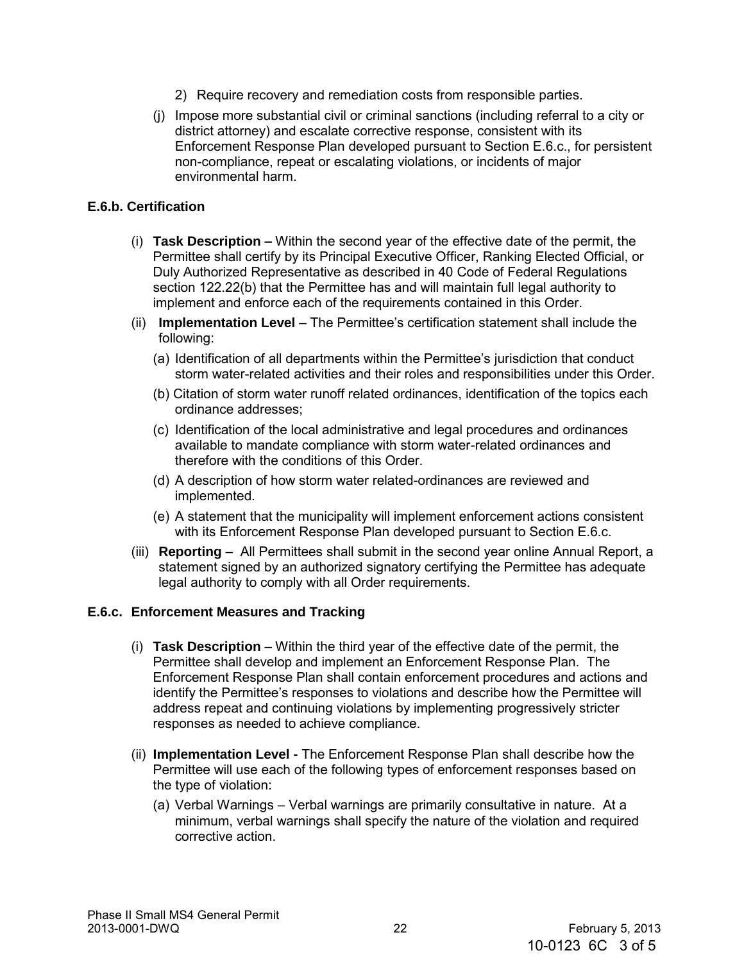- 2) Require recovery and remediation costs from responsible parties.
- (j) Impose more substantial civil or criminal sanctions (including referral to a city or district attorney) and escalate corrective response, consistent with its Enforcement Response Plan developed pursuant to Section E.6.c., for persistent non-compliance, repeat or escalating violations, or incidents of major environmental harm.

### **E.6.b. Certification**

- (i) **Task Description –** Within the second year of the effective date of the permit, the Permittee shall certify by its Principal Executive Officer, Ranking Elected Official, or Duly Authorized Representative as described in 40 Code of Federal Regulations section 122.22(b) that the Permittee has and will maintain full legal authority to implement and enforce each of the requirements contained in this Order.
- (ii) **Implementation Level** The Permittee's certification statement shall include the following:
	- (a) Identification of all departments within the Permittee's jurisdiction that conduct storm water-related activities and their roles and responsibilities under this Order.
	- (b) Citation of storm water runoff related ordinances, identification of the topics each ordinance addresses;
	- (c) Identification of the local administrative and legal procedures and ordinances available to mandate compliance with storm water-related ordinances and therefore with the conditions of this Order.
	- (d) A description of how storm water related-ordinances are reviewed and implemented.
	- (e) A statement that the municipality will implement enforcement actions consistent with its Enforcement Response Plan developed pursuant to Section E.6.c.
- (iii) **Reporting**  All Permittees shall submit in the second year online Annual Report, a statement signed by an authorized signatory certifying the Permittee has adequate legal authority to comply with all Order requirements.

#### **E.6.c. Enforcement Measures and Tracking**

- (i) **Task Description** Within the third year of the effective date of the permit, the Permittee shall develop and implement an Enforcement Response Plan. The Enforcement Response Plan shall contain enforcement procedures and actions and identify the Permittee's responses to violations and describe how the Permittee will address repeat and continuing violations by implementing progressively stricter responses as needed to achieve compliance.
- (ii) **Implementation Level -** The Enforcement Response Plan shall describe how the Permittee will use each of the following types of enforcement responses based on the type of violation:
	- (a) Verbal Warnings Verbal warnings are primarily consultative in nature. At a minimum, verbal warnings shall specify the nature of the violation and required corrective action.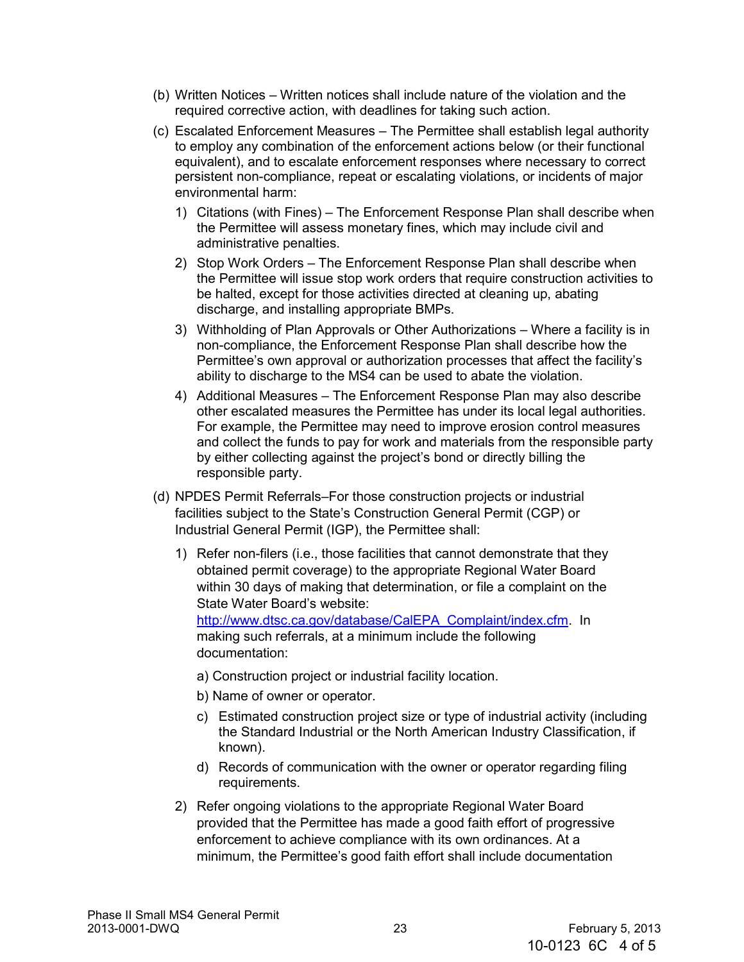- (b) Written Notices Written notices shall include nature of the violation and the required corrective action, with deadlines for taking such action.
- (c) Escalated Enforcement Measures The Permittee shall establish legal authority to employ any combination of the enforcement actions below (or their functional equivalent), and to escalate enforcement responses where necessary to correct persistent non-compliance, repeat or escalating violations, or incidents of major environmental harm:
	- 1) Citations (with Fines) The Enforcement Response Plan shall describe when the Permittee will assess monetary fines, which may include civil and administrative penalties.
	- 2) Stop Work Orders The Enforcement Response Plan shall describe when the Permittee will issue stop work orders that require construction activities to be halted, except for those activities directed at cleaning up, abating discharge, and installing appropriate BMPs.
	- 3) Withholding of Plan Approvals or Other Authorizations Where a facility is in non-compliance, the Enforcement Response Plan shall describe how the Permittee's own approval or authorization processes that affect the facility's ability to discharge to the MS4 can be used to abate the violation.
	- 4) Additional Measures The Enforcement Response Plan may also describe other escalated measures the Permittee has under its local legal authorities. For example, the Permittee may need to improve erosion control measures and collect the funds to pay for work and materials from the responsible party by either collecting against the project's bond or directly billing the responsible party.
- (d) NPDES Permit Referrals–For those construction projects or industrial facilities subject to the State's Construction General Permit (CGP) or Industrial General Permit (IGP), the Permittee shall:
	- 1) Refer non-filers (i.e., those facilities that cannot demonstrate that they obtained permit coverage) to the appropriate Regional Water Board within 30 days of making that determination, or file a complaint on the State Water Board's website: [http://www.dtsc.ca.gov/database/CalEPA\\_Complaint/index.cfm.](http://www.dtsc.ca.gov/database/CalEPA_Complaint/index.cfm) In

making such referrals, at a minimum include the following documentation:

- a) Construction project or industrial facility location.
- b) Name of owner or operator.
- c) Estimated construction project size or type of industrial activity (including the Standard Industrial or the [North American Industry Classification, i](http://www.census.gov/epcd/www/naics.html)f known).
- d) Records of communication with the owner or operator regarding filing requirements.
- 2) Refer ongoing violations to the appropriate Regional Water Board provided that the Permittee has made a good faith effort of progressive enforcement to achieve compliance with its own ordinances. At a minimum, the Permittee's good faith effort shall include documentation